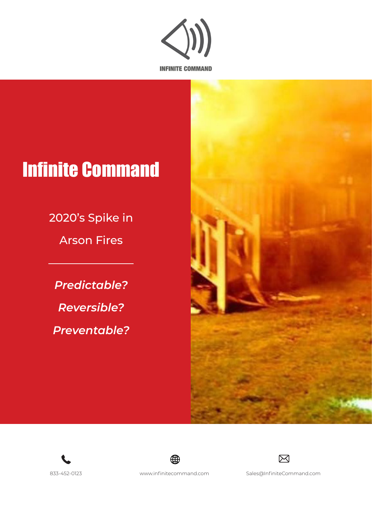

# Infinite Command

2020's Spike in

Arson Fires

*Predictable? Reversible? Preventable?*









833-452-0123 www.infinitecommand.com Sales@InfiniteCommand.com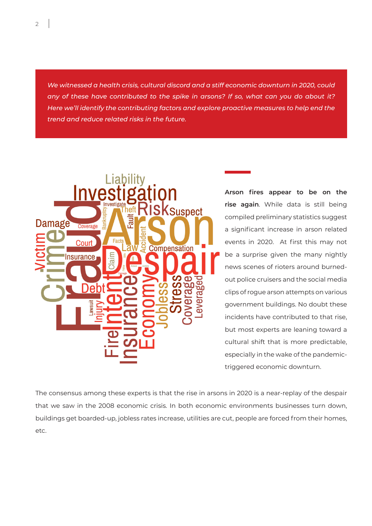*We witnessed a health crisis, cultural discord and a stiff economic downturn in 2020, could any of these have contributed to the spike in arsons? If so, what can you do about it? Here we'll identify the contributing factors and explore proactive measures to help end the trend and reduce related risks in the future.*



**Arson fires appear to be on the rise again**. While data is still being compiled preliminary statistics suggest a significant increase in arson related events in 2020. At first this may not be a surprise given the many nightly news scenes of rioters around burnedout police cruisers and the social media clips of rogue arson attempts on various government buildings. No doubt these incidents have contributed to that rise, but most experts are leaning toward a cultural shift that is more predictable, especially in the wake of the pandemictriggered economic downturn.

The consensus among these experts is that the rise in arsons in 2020 is a near-replay of the despair that we saw in the 2008 economic crisis. In both economic environments businesses turn down, buildings get boarded-up, jobless rates increase, utilities are cut, people are forced from their homes, etc.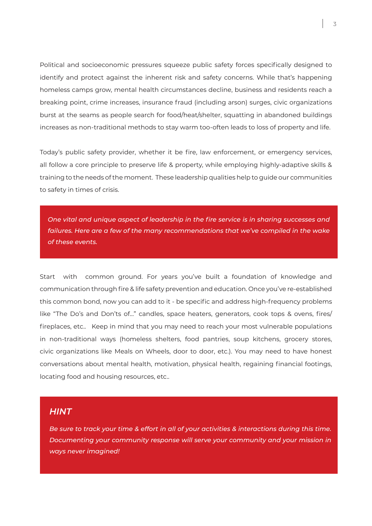Political and socioeconomic pressures squeeze public safety forces specifically designed to identify and protect against the inherent risk and safety concerns. While that's happening homeless camps grow, mental health circumstances decline, business and residents reach a breaking point, crime increases, insurance fraud (including arson) surges, civic organizations burst at the seams as people search for food/heat/shelter, squatting in abandoned buildings increases as non-traditional methods to stay warm too-often leads to loss of property and life.

Today's public safety provider, whether it be fire, law enforcement, or emergency services, all follow a core principle to preserve life & property, while employing highly-adaptive skills & training to the needs of the moment. These leadership qualities help to guide our communities to safety in times of crisis.

*One vital and unique aspect of leadership in the fire service is in sharing successes and*  failures. Here are a few of the many recommendations that we've compiled in the wake *of these events.*

Start with common ground. For years you've built a foundation of knowledge and communication through fire & life safety prevention and education. Once you've re-established this common bond, now you can add to it - be specific and address high-frequency problems like "The Do's and Don'ts of…" candles, space heaters, generators, cook tops & ovens, fires/ fireplaces, etc.. Keep in mind that you may need to reach your most vulnerable populations in non-traditional ways (homeless shelters, food pantries, soup kitchens, grocery stores, civic organizations like Meals on Wheels, door to door, etc.). You may need to have honest conversations about mental health, motivation, physical health, regaining financial footings, locating food and housing resources, etc..

## *HINT*

*Be sure to track your time & effort in all of your activities & interactions during this time. Documenting your community response will serve your community and your mission in ways never imagined!*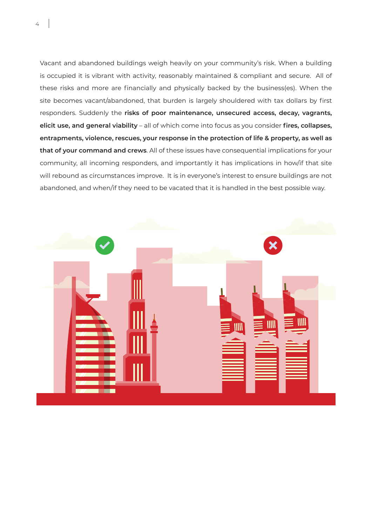Vacant and abandoned buildings weigh heavily on your community's risk. When a building is occupied it is vibrant with activity, reasonably maintained & compliant and secure. All of these risks and more are financially and physically backed by the business(es). When the site becomes vacant/abandoned, that burden is largely shouldered with tax dollars by first responders. Suddenly the **risks of poor maintenance, unsecured access, decay, vagrants, elicit use, and general viability** – all of which come into focus as you consider **fires, collapses, entrapments, violence, rescues, your response in the protection of life & property, as well as that of your command and crews**. All of these issues have consequential implications for your community, all incoming responders, and importantly it has implications in how/if that site will rebound as circumstances improve. It is in everyone's interest to ensure buildings are not abandoned, and when/if they need to be vacated that it is handled in the best possible way.



4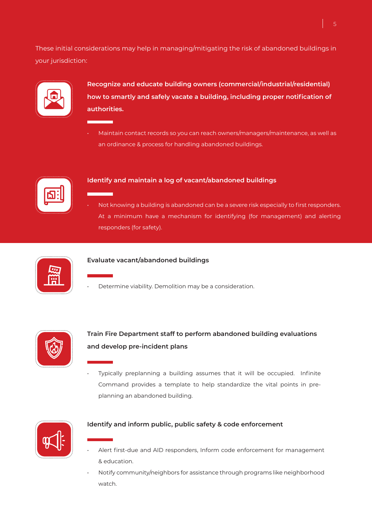These initial considerations may help in managing/mitigating the risk of abandoned buildings in your jurisdiction:



**Recognize and educate building owners (commercial/industrial/residential) how to smartly and safely vacate a building, including proper notification of authorities.**

• Maintain contact records so you can reach owners/managers/maintenance, as well as an ordinance & process for handling abandoned buildings.



### **Identify and maintain a log of vacant/abandoned buildings**

• Not knowing a building is abandoned can be a severe risk especially to first responders. At a minimum have a mechanism for identifying (for management) and alerting responders (for safety).



#### **Evaluate vacant/abandoned buildings**

• Determine viability. Demolition may be a consideration.



# **Train Fire Department staff to perform abandoned building evaluations and develop pre-incident plans**

• Typically preplanning a building assumes that it will be occupied. Infinite Command provides a template to help standardize the vital points in preplanning an abandoned building.



#### **Identify and inform public, public safety & code enforcement**

- Alert first-due and AID responders, Inform code enforcement for management & education.
- Notify community/neighbors for assistance through programs like neighborhood watch.

5